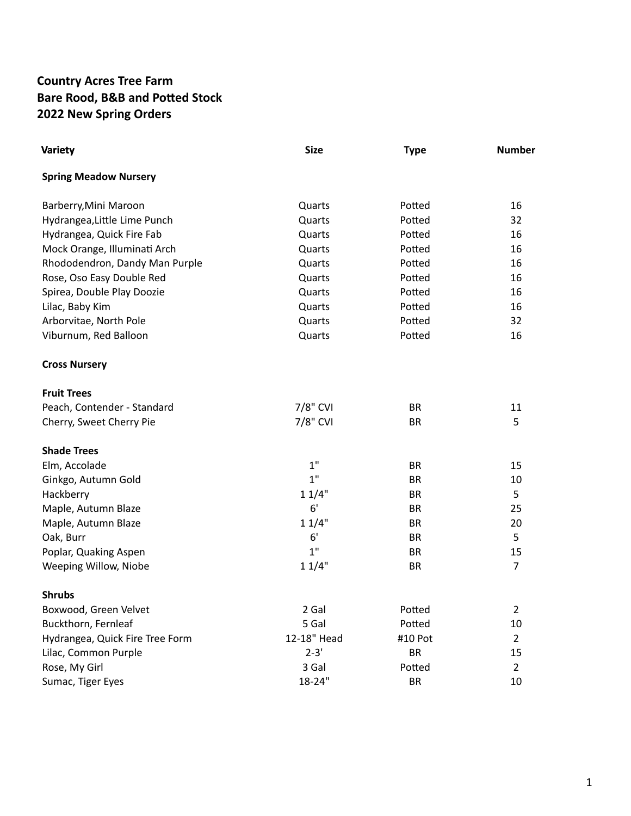## **Country Acres Tree Farm Bare Rood, B&B and Potted Stock 2022 New Spring Orders**

| <b>Variety</b>                  | <b>Size</b> | <b>Type</b> | <b>Number</b>  |
|---------------------------------|-------------|-------------|----------------|
| <b>Spring Meadow Nursery</b>    |             |             |                |
| Barberry, Mini Maroon           | Quarts      | Potted      | 16             |
| Hydrangea, Little Lime Punch    | Quarts      | Potted      | 32             |
| Hydrangea, Quick Fire Fab       | Quarts      | Potted      | 16             |
| Mock Orange, Illuminati Arch    | Quarts      | Potted      | 16             |
| Rhododendron, Dandy Man Purple  | Quarts      | Potted      | 16             |
| Rose, Oso Easy Double Red       | Quarts      | Potted      | 16             |
| Spirea, Double Play Doozie      | Quarts      | Potted      | 16             |
| Lilac, Baby Kim                 | Quarts      | Potted      | 16             |
| Arborvitae, North Pole          | Quarts      | Potted      | 32             |
| Viburnum, Red Balloon           | Quarts      | Potted      | 16             |
| <b>Cross Nursery</b>            |             |             |                |
| <b>Fruit Trees</b>              |             |             |                |
| Peach, Contender - Standard     | 7/8" CVI    | <b>BR</b>   | 11             |
| Cherry, Sweet Cherry Pie        | 7/8" CVI    | <b>BR</b>   | 5              |
| <b>Shade Trees</b>              |             |             |                |
| Elm, Accolade                   | 1"          | <b>BR</b>   | 15             |
| Ginkgo, Autumn Gold             | 1"          | <b>BR</b>   | 10             |
| Hackberry                       | 11/4"       | <b>BR</b>   | 5              |
| Maple, Autumn Blaze             | 6'          | <b>BR</b>   | 25             |
| Maple, Autumn Blaze             | 11/4"       | <b>BR</b>   | 20             |
| Oak, Burr                       | 6'          | <b>BR</b>   | 5              |
| Poplar, Quaking Aspen           | 1"          | <b>BR</b>   | 15             |
| Weeping Willow, Niobe           | 11/4"       | BR          | $\overline{7}$ |
| <b>Shrubs</b>                   |             |             |                |
| Boxwood, Green Velvet           | 2 Gal       | Potted      | $\overline{2}$ |
| Buckthorn, Fernleaf             | 5 Gal       | Potted      | 10             |
| Hydrangea, Quick Fire Tree Form | 12-18" Head | #10 Pot     | $\overline{2}$ |
| Lilac, Common Purple            | $2 - 3'$    | <b>BR</b>   | 15             |
| Rose, My Girl                   | 3 Gal       | Potted      | $\overline{2}$ |
| Sumac, Tiger Eyes               | 18-24"      | <b>BR</b>   | 10             |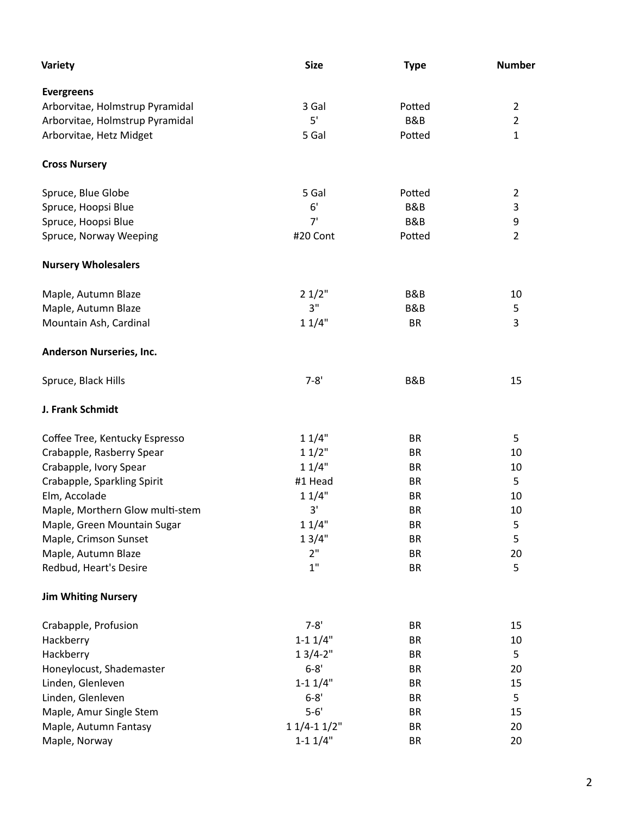| Variety                         | <b>Size</b>  | <b>Type</b>    | <b>Number</b>  |
|---------------------------------|--------------|----------------|----------------|
| <b>Evergreens</b>               |              |                |                |
| Arborvitae, Holmstrup Pyramidal | 3 Gal        | Potted         | $\overline{2}$ |
| Arborvitae, Holmstrup Pyramidal | 5'           | B&B            | $\overline{2}$ |
| Arborvitae, Hetz Midget         | 5 Gal        | Potted         | $\mathbf{1}$   |
| <b>Cross Nursery</b>            |              |                |                |
| Spruce, Blue Globe              | 5 Gal        | Potted         | $\overline{2}$ |
| Spruce, Hoopsi Blue             | 6'           | B&B            | 3              |
| Spruce, Hoopsi Blue             | 7'           | <b>B&amp;B</b> | 9              |
| Spruce, Norway Weeping          | #20 Cont     | Potted         | $\overline{2}$ |
| <b>Nursery Wholesalers</b>      |              |                |                |
| Maple, Autumn Blaze             | 21/2"        | B&B            | 10             |
| Maple, Autumn Blaze             | 3"           | B&B            | 5              |
| Mountain Ash, Cardinal          | 11/4"        | <b>BR</b>      | 3              |
| Anderson Nurseries, Inc.        |              |                |                |
| Spruce, Black Hills             | $7 - 8'$     | B&B            | 15             |
| J. Frank Schmidt                |              |                |                |
| Coffee Tree, Kentucky Espresso  | 11/4"        | <b>BR</b>      | 5              |
| Crabapple, Rasberry Spear       | 11/2"        | <b>BR</b>      | 10             |
| Crabapple, Ivory Spear          | 11/4"        | <b>BR</b>      | 10             |
| Crabapple, Sparkling Spirit     | #1 Head      | <b>BR</b>      | 5              |
| Elm, Accolade                   | 11/4"        | <b>BR</b>      | 10             |
| Maple, Morthern Glow multi-stem | 3'           | <b>BR</b>      | 10             |
| Maple, Green Mountain Sugar     | 11/4"        | BR             | 5              |
| Maple, Crimson Sunset           | 13/4"        | <b>BR</b>      | 5              |
| Maple, Autumn Blaze             | 2"           | BR             | 20             |
| Redbud, Heart's Desire          | 1"           | <b>BR</b>      | 5              |
| <b>Jim Whiting Nursery</b>      |              |                |                |
| Crabapple, Profusion            | $7 - 8'$     | <b>BR</b>      | 15             |
| Hackberry                       | $1 - 11/4"$  | BR             | 10             |
| Hackberry                       | $13/4 - 2"$  | BR             | 5              |
| Honeylocust, Shademaster        | $6 - 8'$     | <b>BR</b>      | 20             |
| Linden, Glenleven               | $1 - 11/4"$  | <b>BR</b>      | 15             |
| Linden, Glenleven               | $6 - 8'$     | BR             | 5              |
| Maple, Amur Single Stem         | $5-6'$       | <b>BR</b>      | 15             |
| Maple, Autumn Fantasy           | $11/4-11/2"$ | BR             | 20             |
| Maple, Norway                   | $1 - 11/4"$  | <b>BR</b>      | 20             |